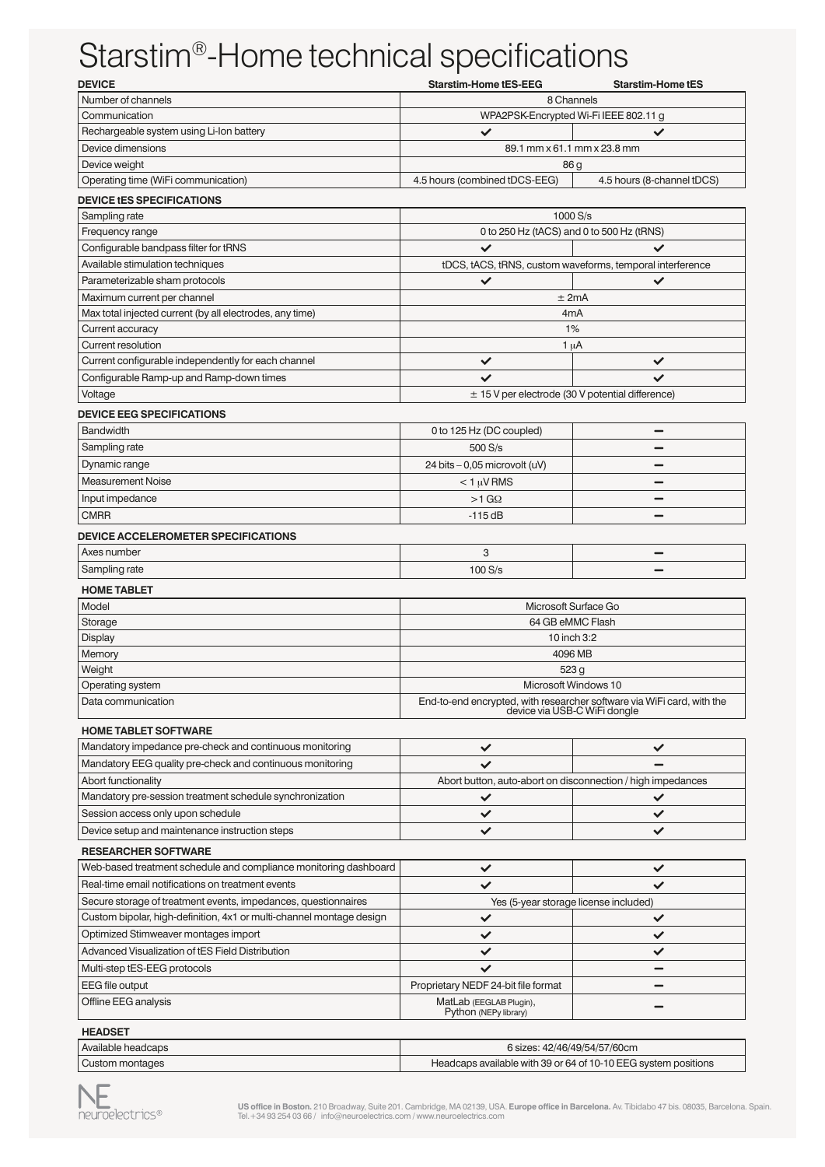## Starstim®-Home technical specifications

| <b>DEVICE</b>                                                                                                        | <b>Starstim-Home tES-EEG</b>                                                                           | <b>Starstim-Home tES</b>   |
|----------------------------------------------------------------------------------------------------------------------|--------------------------------------------------------------------------------------------------------|----------------------------|
| Number of channels                                                                                                   | 8 Channels                                                                                             |                            |
| Communication                                                                                                        | WPA2PSK-Encrypted Wi-Fi IEEE 802.11 g                                                                  |                            |
| Rechargeable system using Li-Ion battery                                                                             | $\checkmark$                                                                                           | ✓                          |
| Device dimensions                                                                                                    | 89.1 mm x 61.1 mm x 23.8 mm                                                                            |                            |
| Device weight                                                                                                        | 86 g                                                                                                   |                            |
| Operating time (WiFi communication)                                                                                  | 4.5 hours (combined tDCS-EEG)                                                                          | 4.5 hours (8-channel tDCS) |
| <b>DEVICE tES SPECIFICATIONS</b>                                                                                     |                                                                                                        |                            |
| Sampling rate                                                                                                        | 1000 S/s                                                                                               |                            |
| Frequency range                                                                                                      | 0 to 250 Hz (tACS) and 0 to 500 Hz (tRNS)                                                              |                            |
| Configurable bandpass filter for tRNS                                                                                | $\checkmark$                                                                                           |                            |
| Available stimulation techniques                                                                                     | tDCS, tACS, tRNS, custom waveforms, temporal interference                                              |                            |
| Parameterizable sham protocols                                                                                       | ✓                                                                                                      | ✓                          |
| Maximum current per channel                                                                                          | $±$ 2mA                                                                                                |                            |
| Max total injected current (by all electrodes, any time)                                                             | 4mA                                                                                                    |                            |
| Current accuracy                                                                                                     | 1%                                                                                                     |                            |
| Current resolution                                                                                                   | 1 $\mu$ A                                                                                              |                            |
| Current configurable independently for each channel                                                                  | ✓                                                                                                      | ✓                          |
| Configurable Ramp-up and Ramp-down times                                                                             | ✓                                                                                                      | ✓                          |
| Voltage                                                                                                              | $\pm$ 15 V per electrode (30 V potential difference)                                                   |                            |
| <b>DEVICE EEG SPECIFICATIONS</b>                                                                                     |                                                                                                        |                            |
| <b>Bandwidth</b>                                                                                                     | 0 to 125 Hz (DC coupled)                                                                               |                            |
| Sampling rate                                                                                                        | 500 S/s                                                                                                |                            |
| Dynamic range                                                                                                        | 24 bits - 0,05 microvolt (uV)                                                                          |                            |
| <b>Measurement Noise</b>                                                                                             | $< 1 \mu V$ RMS                                                                                        |                            |
| Input impedance                                                                                                      | $>1$ G $\Omega$                                                                                        |                            |
| <b>CMRR</b>                                                                                                          | $-115dB$                                                                                               |                            |
| <b>DEVICE ACCELEROMETER SPECIFICATIONS</b>                                                                           |                                                                                                        |                            |
| Axes number                                                                                                          | 3                                                                                                      |                            |
| Sampling rate                                                                                                        | 100 S/s                                                                                                |                            |
| <b>HOME TABLET</b>                                                                                                   |                                                                                                        |                            |
| Model                                                                                                                | Microsoft Surface Go                                                                                   |                            |
| Storage                                                                                                              | 64 GB eMMC Flash                                                                                       |                            |
| <b>Display</b>                                                                                                       | 10 inch 3:2                                                                                            |                            |
| Memory                                                                                                               | 4096 MB                                                                                                |                            |
| Weight                                                                                                               | 523 g                                                                                                  |                            |
| Operating system                                                                                                     | Microsoft Windows 10                                                                                   |                            |
| Data communication                                                                                                   | End-to-end encrypted, with researcher software via WiFi card, with the<br>device via USB-C WiFi dongle |                            |
|                                                                                                                      |                                                                                                        |                            |
| <b>HOME TABLET SOFTWARE</b>                                                                                          |                                                                                                        |                            |
| Mandatory impedance pre-check and continuous monitoring<br>Mandatory EEG quality pre-check and continuous monitoring | ✓                                                                                                      | ✓                          |
|                                                                                                                      |                                                                                                        |                            |
| Abort functionality                                                                                                  | Abort button, auto-abort on disconnection / high impedances                                            |                            |
| Mandatory pre-session treatment schedule synchronization                                                             | ✓                                                                                                      | ✓                          |
| Session access only upon schedule                                                                                    | ✓                                                                                                      | ✓                          |
| Device setup and maintenance instruction steps                                                                       | ✓                                                                                                      | ✓                          |
| <b>RESEARCHER SOFTWARE</b>                                                                                           |                                                                                                        |                            |
| Web-based treatment schedule and compliance monitoring dashboard                                                     | ✓                                                                                                      | ✓                          |
| Real-time email notifications on treatment events                                                                    | ✓                                                                                                      | ✓                          |
| Secure storage of treatment events, impedances, questionnaires                                                       | Yes (5-year storage license included)                                                                  |                            |
| Custom bipolar, high-definition, 4x1 or multi-channel montage design                                                 | ✓                                                                                                      | ✓                          |
| Optimized Stimweaver montages import                                                                                 | ✓                                                                                                      | ✓                          |
| Advanced Visualization of tES Field Distribution                                                                     | ✓                                                                                                      | ✓                          |
| Multi-step tES-EEG protocols                                                                                         | ✓                                                                                                      |                            |
| <b>EEG file output</b>                                                                                               | Proprietary NEDF 24-bit file format                                                                    |                            |
| Offline EEG analysis                                                                                                 | MatLab (EEGLAB Plugin),<br>Python (NEPy library)                                                       |                            |
|                                                                                                                      |                                                                                                        |                            |
| <b>HEADSET</b>                                                                                                       |                                                                                                        |                            |
| Available headcaps                                                                                                   | 6 sizes: 42/46/49/54/57/60cm                                                                           |                            |
| Custom montages                                                                                                      | Headcaps available with 39 or 64 of 10-10 EEG system positions                                         |                            |

**US office in Boston.** 210 Broadway, Suite 201. Cambridge, MA 02139, USA. **Europe office in Barcelona.** Av. Tibidabo 47 bis. 08035, Barcelona. Spain.<br>Tel.+34 93 254 03 66 / info@neuroelectrics.com / www.neuroelectrics.com